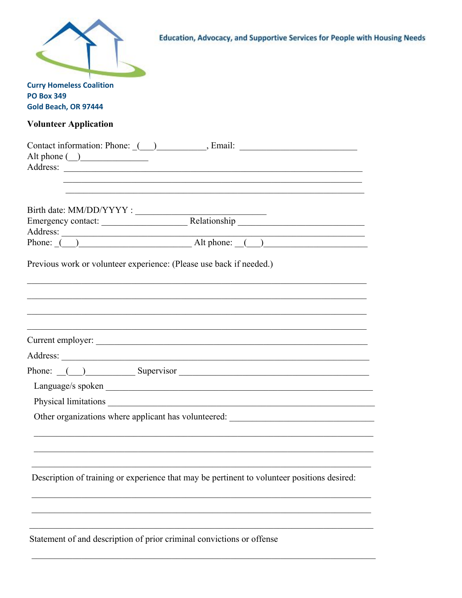| Education, Advocacy, and Supportive Services for People with Housing Needs                                                                                                                                  |  |
|-------------------------------------------------------------------------------------------------------------------------------------------------------------------------------------------------------------|--|
| <b>Curry Homeless Coalition</b>                                                                                                                                                                             |  |
| <b>PO Box 349</b>                                                                                                                                                                                           |  |
| Gold Beach, OR 97444                                                                                                                                                                                        |  |
| <b>Volunteer Application</b>                                                                                                                                                                                |  |
| Contact information: Phone: ( ) ____________, Email: ___________________________<br><u> 1989 - Johann John Stoff, deutscher Stoff und der Stoff und der Stoff und der Stoff und der Stoff und der Stoff</u> |  |
|                                                                                                                                                                                                             |  |
|                                                                                                                                                                                                             |  |
|                                                                                                                                                                                                             |  |
| Previous work or volunteer experience: (Please use back if needed.)<br><u> 1989 - John Stein, Amerikaansk politiker († 1989)</u>                                                                            |  |
|                                                                                                                                                                                                             |  |
| Address:                                                                                                                                                                                                    |  |
| Phone: () Supervisor                                                                                                                                                                                        |  |
|                                                                                                                                                                                                             |  |
|                                                                                                                                                                                                             |  |
|                                                                                                                                                                                                             |  |
| Description of training or experience that may be pertinent to volunteer positions desired:                                                                                                                 |  |
| $\mathbf{a}$ and $\mathbf{a}$ and $\mathbf{a}$ and $\mathbf{a}$ and $\mathbf{a}$ and $\mathbf{a}$ and $\mathbf{a}$ and $\mathbf{a}$                                                                         |  |

Statement of and description of prior criminal convictions or offense